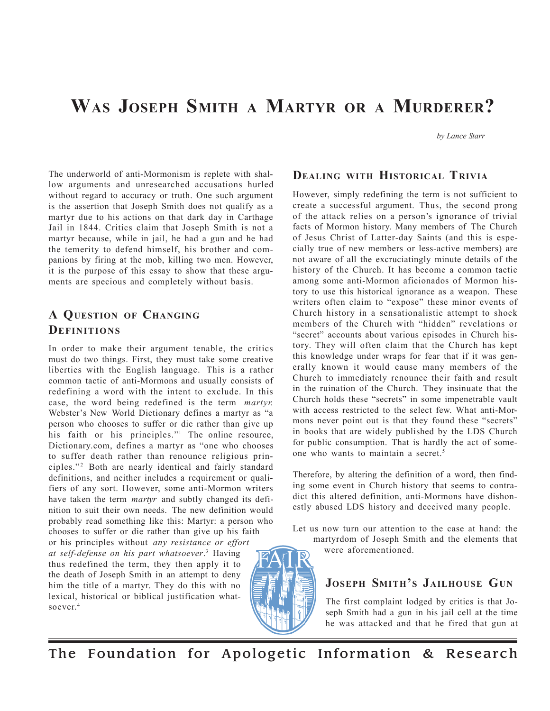# **WAS JOSEPH SMITH A MARTYR OR A MURDERER?**

*by Lance Starr*

The underworld of anti-Mormonism is replete with shallow arguments and unresearched accusations hurled without regard to accuracy or truth. One such argument is the assertion that Joseph Smith does not qualify as a martyr due to his actions on that dark day in Carthage Jail in 1844. Critics claim that Joseph Smith is not a martyr because, while in jail, he had a gun and he had the temerity to defend himself, his brother and companions by firing at the mob, killing two men. However, it is the purpose of this essay to show that these arguments are specious and completely without basis.

## **A QUESTION OF CHANGING DEFINITIONS**

In order to make their argument tenable, the critics must do two things. First, they must take some creative liberties with the English language. This is a rather common tactic of anti-Mormons and usually consists of redefining a word with the intent to exclude. In this case, the word being redefined is the term *martyr.* Webster's New World Dictionary defines a martyr as "a person who chooses to suffer or die rather than give up his faith or his principles."<sup>1</sup> The online resource, Dictionary.com, defines a martyr as "one who chooses to suffer death rather than renounce religious principles."<sup>2</sup> Both are nearly identical and fairly standard definitions, and neither includes a requirement or qualifiers of any sort. However, some anti-Mormon writers have taken the term *martyr* and subtly changed its definition to suit their own needs. The new definition would probably read something like this: Martyr: a person who chooses to suffer or die rather than give up his faith

or his principles without *any resistance or effort at self-defense on his part whatsoever*. 3 Having thus redefined the term, they then apply it to the death of Joseph Smith in an attempt to deny him the title of a martyr. They do this with no lexical, historical or biblical justification whatsoever.4



### **DEALING WITH HISTORICAL TRIVIA**

However, simply redefining the term is not sufficient to create a successful argument. Thus, the second prong of the attack relies on a person's ignorance of trivial facts of Mormon history. Many members of The Church of Jesus Christ of Latter-day Saints (and this is especially true of new members or less-active members) are not aware of all the excruciatingly minute details of the history of the Church. It has become a common tactic among some anti-Mormon aficionados of Mormon history to use this historical ignorance as a weapon. These writers often claim to "expose" these minor events of Church history in a sensationalistic attempt to shock members of the Church with "hidden" revelations or "secret" accounts about various episodes in Church history. They will often claim that the Church has kept this knowledge under wraps for fear that if it was generally known it would cause many members of the Church to immediately renounce their faith and result in the ruination of the Church. They insinuate that the Church holds these "secrets" in some impenetrable vault with access restricted to the select few. What anti-Mormons never point out is that they found these "secrets" in books that are widely published by the LDS Church for public consumption. That is hardly the act of someone who wants to maintain a secret.5

Therefore, by altering the definition of a word, then finding some event in Church history that seems to contradict this altered definition, anti-Mormons have dishonestly abused LDS history and deceived many people.

Let us now turn our attention to the case at hand: the martyrdom of Joseph Smith and the elements that were aforementioned.

## **JOSEPH SMITH'S JAILHOUSE GUN**

The first complaint lodged by critics is that Joseph Smith had a gun in his jail cell at the time he was attacked and that he fired that gun at

The Foundation for Apologetic Information & Research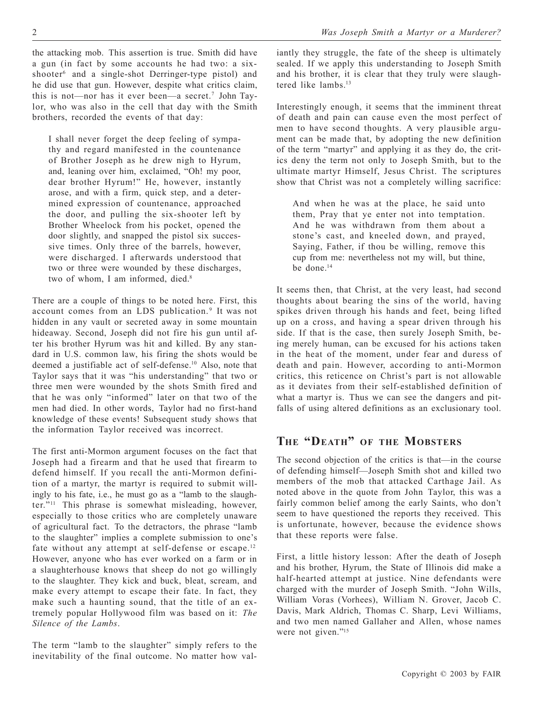the attacking mob. This assertion is true. Smith did have a gun (in fact by some accounts he had two: a sixshooter<sup>6</sup> and a single-shot Derringer-type pistol) and he did use that gun. However, despite what critics claim, this is not—nor has it ever been—a secret.7 John Taylor, who was also in the cell that day with the Smith brothers, recorded the events of that day:

I shall never forget the deep feeling of sympathy and regard manifested in the countenance of Brother Joseph as he drew nigh to Hyrum, and, leaning over him, exclaimed, "Oh! my poor, dear brother Hyrum!" He, however, instantly arose, and with a firm, quick step, and a determined expression of countenance, approached the door, and pulling the six-shooter left by Brother Wheelock from his pocket, opened the door slightly, and snapped the pistol six successive times. Only three of the barrels, however, were discharged. I afterwards understood that two or three were wounded by these discharges, two of whom, I am informed, died.<sup>8</sup>

There are a couple of things to be noted here. First, this account comes from an LDS publication.<sup>9</sup> It was not hidden in any vault or secreted away in some mountain hideaway. Second, Joseph did not fire his gun until after his brother Hyrum was hit and killed. By any standard in U.S. common law, his firing the shots would be deemed a justifiable act of self-defense.10 Also, note that Taylor says that it was "his understanding" that two or three men were wounded by the shots Smith fired and that he was only "informed" later on that two of the men had died. In other words, Taylor had no first-hand knowledge of these events! Subsequent study shows that the information Taylor received was incorrect.

The first anti-Mormon argument focuses on the fact that Joseph had a firearm and that he used that firearm to defend himself. If you recall the anti-Mormon definition of a martyr, the martyr is required to submit willingly to his fate, i.e., he must go as a "lamb to the slaughter."11 This phrase is somewhat misleading, however, especially to those critics who are completely unaware of agricultural fact. To the detractors, the phrase "lamb to the slaughter" implies a complete submission to one's fate without any attempt at self-defense or escape.<sup>12</sup> However, anyone who has ever worked on a farm or in a slaughterhouse knows that sheep do not go willingly to the slaughter. They kick and buck, bleat, scream, and make every attempt to escape their fate. In fact, they make such a haunting sound, that the title of an extremely popular Hollywood film was based on it: *The Silence of the Lambs*.

The term "lamb to the slaughter" simply refers to the inevitability of the final outcome. No matter how valiantly they struggle, the fate of the sheep is ultimately sealed. If we apply this understanding to Joseph Smith and his brother, it is clear that they truly were slaughtered like lambs.13

Interestingly enough, it seems that the imminent threat of death and pain can cause even the most perfect of men to have second thoughts. A very plausible argument can be made that, by adopting the new definition of the term "martyr" and applying it as they do, the critics deny the term not only to Joseph Smith, but to the ultimate martyr Himself, Jesus Christ. The scriptures show that Christ was not a completely willing sacrifice:

And when he was at the place, he said unto them, Pray that ye enter not into temptation. And he was withdrawn from them about a stone's cast, and kneeled down, and prayed, Saying, Father, if thou be willing, remove this cup from me: nevertheless not my will, but thine, be done.<sup>14</sup>

It seems then, that Christ, at the very least, had second thoughts about bearing the sins of the world, having spikes driven through his hands and feet, being lifted up on a cross, and having a spear driven through his side. If that is the case, then surely Joseph Smith, being merely human, can be excused for his actions taken in the heat of the moment, under fear and duress of death and pain. However, according to anti-Mormon critics, this reticence on Christ's part is not allowable as it deviates from their self-established definition of what a martyr is. Thus we can see the dangers and pitfalls of using altered definitions as an exclusionary tool.

## **THE "DEATH" OF THE MOBSTERS**

The second objection of the critics is that—in the course of defending himself—Joseph Smith shot and killed two members of the mob that attacked Carthage Jail. As noted above in the quote from John Taylor, this was a fairly common belief among the early Saints, who don't seem to have questioned the reports they received. This is unfortunate, however, because the evidence shows that these reports were false.

First, a little history lesson: After the death of Joseph and his brother, Hyrum, the State of Illinois did make a half-hearted attempt at justice. Nine defendants were charged with the murder of Joseph Smith. "John Wills, William Voras (Vorhees), William N. Grover, Jacob C. Davis, Mark Aldrich, Thomas C. Sharp, Levi Williams, and two men named Gallaher and Allen, whose names were not given."<sup>15</sup>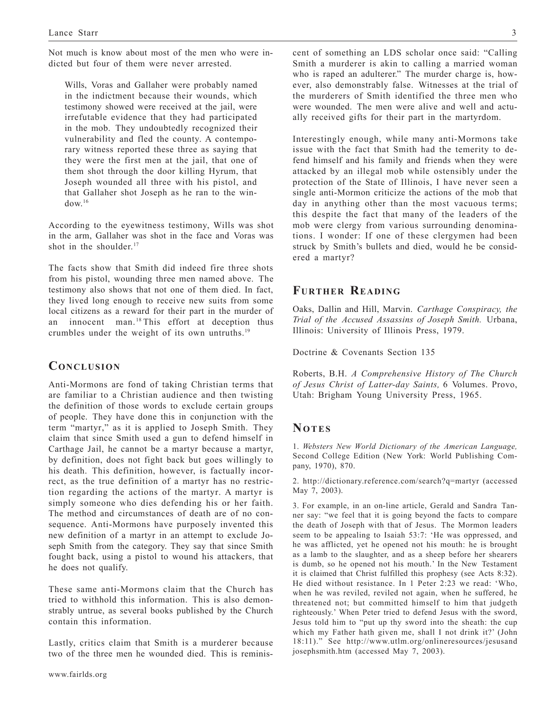Not much is know about most of the men who were indicted but four of them were never arrested.

Wills, Voras and Gallaher were probably named in the indictment because their wounds, which testimony showed were received at the jail, were irrefutable evidence that they had participated in the mob. They undoubtedly recognized their vulnerability and fled the county. A contemporary witness reported these three as saying that they were the first men at the jail, that one of them shot through the door killing Hyrum, that Joseph wounded all three with his pistol, and that Gallaher shot Joseph as he ran to the win $d$ ow.<sup>16</sup>

According to the eyewitness testimony, Wills was shot in the arm, Gallaher was shot in the face and Voras was shot in the shoulder.<sup>17</sup>

The facts show that Smith did indeed fire three shots from his pistol, wounding three men named above. The testimony also shows that not one of them died. In fact, they lived long enough to receive new suits from some local citizens as a reward for their part in the murder of an innocent man.<sup>18</sup> This effort at deception thus crumbles under the weight of its own untruths.19

## **CONCLUSION**

Anti-Mormons are fond of taking Christian terms that are familiar to a Christian audience and then twisting the definition of those words to exclude certain groups of people. They have done this in conjunction with the term "martyr," as it is applied to Joseph Smith. They claim that since Smith used a gun to defend himself in Carthage Jail, he cannot be a martyr because a martyr, by definition, does not fight back but goes willingly to his death. This definition, however, is factually incorrect, as the true definition of a martyr has no restriction regarding the actions of the martyr. A martyr is simply someone who dies defending his or her faith. The method and circumstances of death are of no consequence. Anti-Mormons have purposely invented this new definition of a martyr in an attempt to exclude Joseph Smith from the category. They say that since Smith fought back, using a pistol to wound his attackers, that he does not qualify.

These same anti-Mormons claim that the Church has tried to withhold this information. This is also demonstrably untrue, as several books published by the Church contain this information.

Lastly, critics claim that Smith is a murderer because two of the three men he wounded died. This is reminiscent of something an LDS scholar once said: "Calling Smith a murderer is akin to calling a married woman who is raped an adulterer." The murder charge is, however, also demonstrably false. Witnesses at the trial of the murderers of Smith identified the three men who were wounded. The men were alive and well and actually received gifts for their part in the martyrdom.

Interestingly enough, while many anti-Mormons take issue with the fact that Smith had the temerity to defend himself and his family and friends when they were attacked by an illegal mob while ostensibly under the protection of the State of Illinois, I have never seen a single anti-Mormon criticize the actions of the mob that day in anything other than the most vacuous terms; this despite the fact that many of the leaders of the mob were clergy from various surrounding denominations. I wonder: If one of these clergymen had been struck by Smith's bullets and died, would he be considered a martyr?

#### **FURTHER READING**

Oaks, Dallin and Hill, Marvin. *Carthage Conspiracy, the Trial of the Accused Assassins of Joseph Smith.* Urbana, Illinois: University of Illinois Press, 1979.

Doctrine & Covenants Section 135

Roberts, B.H. *A Comprehensive History of The Church of Jesus Christ of Latter-day Saints,* 6 Volumes. Provo, Utah: Brigham Young University Press, 1965.

#### **NOTES**

1. *Websters New World Dictionary of the American Language,* Second College Edition (New York: World Publishing Company, 1970), 870.

2. <http://dictionary.reference.com/search?q=martyr> (accessed May 7, 2003).

3. For example, in an on-line article, Gerald and Sandra Tanner say: "we feel that it is going beyond the facts to compare the death of Joseph with that of Jesus. The Mormon leaders seem to be appealing to Isaiah 53:7: 'He was oppressed, and he was afflicted, yet he opened not his mouth: he is brought as a lamb to the slaughter, and as a sheep before her shearers is dumb, so he opened not his mouth.' In the New Testament it is claimed that Christ fulfilled this prophesy (see Acts 8:32). He died without resistance. In 1 Peter 2:23 we read: 'Who, when he was reviled, reviled not again, when he suffered, he threatened not; but committed himself to him that judgeth righteously.' When Peter tried to defend Jesus with the sword, Jesus told him to "put up thy sword into the sheath: the cup which my Father hath given me, shall I not drink it?' (John 18:11)." See [http://www.utlm.org/onlineresources/jesusand](http://www.utlm.org/onlineresources/jesusandjosephsmith.htm) josephsmith.htm (accessed May 7, 2003).